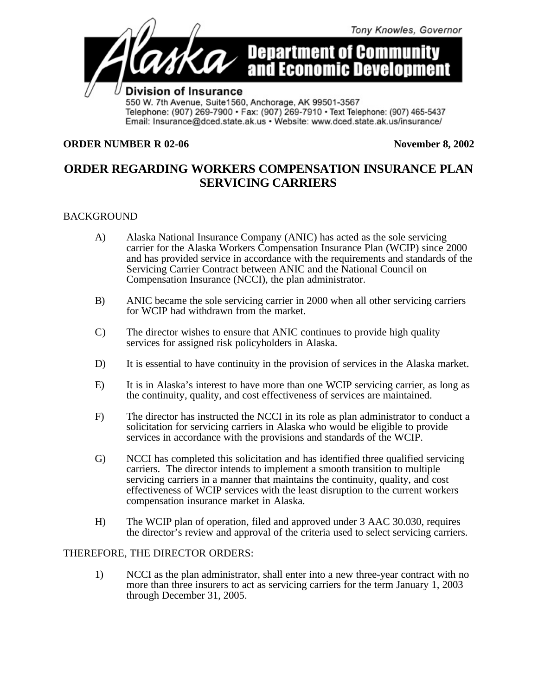

Telephone: (907) 269-7900 · Fax: (907) 269-7910 · Text Telephone: (907) 465-5437 Email: Insurance@dced.state.ak.us • Website: www.dced.state.ak.us/insurance/

## **ORDER NUMBER R 02-06 November 8, 2002**

## **ORDER REGARDING WORKERS COMPENSATION INSURANCE PLAN SERVICING CARRIERS**

## BACKGROUND

- A) Alaska National Insurance Company (ANIC) has acted as the sole servicing carrier for the Alaska Workers Compensation Insurance Plan (WCIP) since 2000 and has provided service in accordance with the requirements and standards of the Servicing Carrier Contract between ANIC and the National Council on Compensation Insurance (NCCI), the plan administrator.
- B) ANIC became the sole servicing carrier in 2000 when all other servicing carriers for WCIP had withdrawn from the market.
- C) The director wishes to ensure that ANIC continues to provide high quality services for assigned risk policyholders in Alaska.
- D) It is essential to have continuity in the provision of services in the Alaska market.
- E) It is in Alaska's interest to have more than one WCIP servicing carrier, as long as the continuity, quality, and cost effectiveness of services are maintained.
- F) The director has instructed the NCCI in its role as plan administrator to conduct a solicitation for servicing carriers in Alaska who would be eligible to provide services in accordance with the provisions and standards of the WCIP.
- G) NCCI has completed this solicitation and has identified three qualified servicing carriers. The director intends to implement a smooth transition to multiple servicing carriers in a manner that maintains the continuity, quality, and cost effectiveness of WCIP services with the least disruption to the current workers compensation insurance market in Alaska.
- H) The WCIP plan of operation, filed and approved under 3 AAC 30.030, requires the director's review and approval of the criteria used to select servicing carriers.

## THEREFORE, THE DIRECTOR ORDERS:

1) NCCI as the plan administrator, shall enter into a new three-year contract with no more than three insurers to act as servicing carriers for the term January 1, 2003 through December 31, 2005.